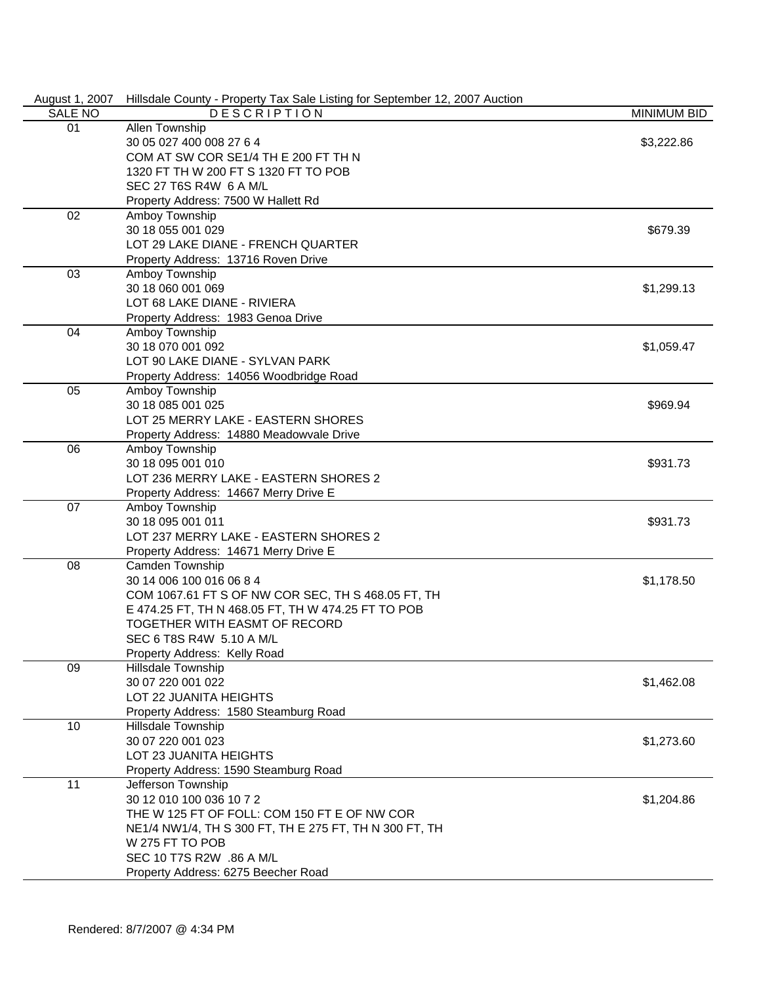| August 1, 2007 | Hillsdale County - Property Tax Sale Listing for September 12, 2007 Auction |                    |
|----------------|-----------------------------------------------------------------------------|--------------------|
| SALE NO        | <b>DESCRIPTION</b>                                                          | <b>MINIMUM BID</b> |
| 01             | Allen Township                                                              |                    |
|                | 30 05 027 400 008 27 6 4                                                    | \$3,222.86         |
|                | COM AT SW COR SE1/4 TH E 200 FT TH N                                        |                    |
|                | 1320 FT TH W 200 FT S 1320 FT TO POB                                        |                    |
|                | SEC 27 T6S R4W 6 A M/L                                                      |                    |
|                | Property Address: 7500 W Hallett Rd                                         |                    |
| 02             | Amboy Township                                                              |                    |
|                | 30 18 055 001 029                                                           | \$679.39           |
|                | LOT 29 LAKE DIANE - FRENCH QUARTER                                          |                    |
|                | Property Address: 13716 Roven Drive                                         |                    |
| 03             | Amboy Township                                                              |                    |
|                | 30 18 060 001 069                                                           | \$1,299.13         |
|                | LOT 68 LAKE DIANE - RIVIERA                                                 |                    |
|                |                                                                             |                    |
|                | Property Address: 1983 Genoa Drive                                          |                    |
| 04             | Amboy Township                                                              |                    |
|                | 30 18 070 001 092                                                           | \$1,059.47         |
|                | LOT 90 LAKE DIANE - SYLVAN PARK                                             |                    |
|                | Property Address: 14056 Woodbridge Road                                     |                    |
| 05             | Amboy Township                                                              |                    |
|                | 30 18 085 001 025                                                           | \$969.94           |
|                | LOT 25 MERRY LAKE - EASTERN SHORES                                          |                    |
|                | Property Address: 14880 Meadowvale Drive                                    |                    |
| 06             | Amboy Township                                                              |                    |
|                | 30 18 095 001 010                                                           | \$931.73           |
|                | LOT 236 MERRY LAKE - EASTERN SHORES 2                                       |                    |
|                | Property Address: 14667 Merry Drive E                                       |                    |
| 07             | Amboy Township                                                              |                    |
|                | 30 18 095 001 011                                                           | \$931.73           |
|                | LOT 237 MERRY LAKE - EASTERN SHORES 2                                       |                    |
|                | Property Address: 14671 Merry Drive E                                       |                    |
| 08             | Camden Township                                                             |                    |
|                | 30 14 006 100 016 06 8 4                                                    | \$1,178.50         |
|                | COM 1067.61 FT S OF NW COR SEC, TH S 468.05 FT, TH                          |                    |
|                | E 474.25 FT, TH N 468.05 FT, TH W 474.25 FT TO POB                          |                    |
|                | TOGETHER WITH EASMT OF RECORD                                               |                    |
|                | SEC 6 T8S R4W 5.10 A M/L                                                    |                    |
|                | Property Address: Kelly Road                                                |                    |
| 09             | Hillsdale Township                                                          |                    |
|                | 30 07 220 001 022                                                           | \$1,462.08         |
|                | LOT 22 JUANITA HEIGHTS                                                      |                    |
|                | Property Address: 1580 Steamburg Road                                       |                    |
| 10             | Hillsdale Township                                                          |                    |
|                | 30 07 220 001 023                                                           | \$1,273.60         |
|                | LOT 23 JUANITA HEIGHTS                                                      |                    |
|                | Property Address: 1590 Steamburg Road                                       |                    |
| 11             | Jefferson Township                                                          |                    |
|                | 30 12 010 100 036 10 7 2                                                    | \$1,204.86         |
|                | THE W 125 FT OF FOLL: COM 150 FT E OF NW COR                                |                    |
|                |                                                                             |                    |
|                | NE1/4 NW1/4, TH S 300 FT, TH E 275 FT, TH N 300 FT, TH                      |                    |
|                | W 275 FT TO POB                                                             |                    |
|                | SEC 10 T7S R2W .86 A M/L                                                    |                    |
|                | Property Address: 6275 Beecher Road                                         |                    |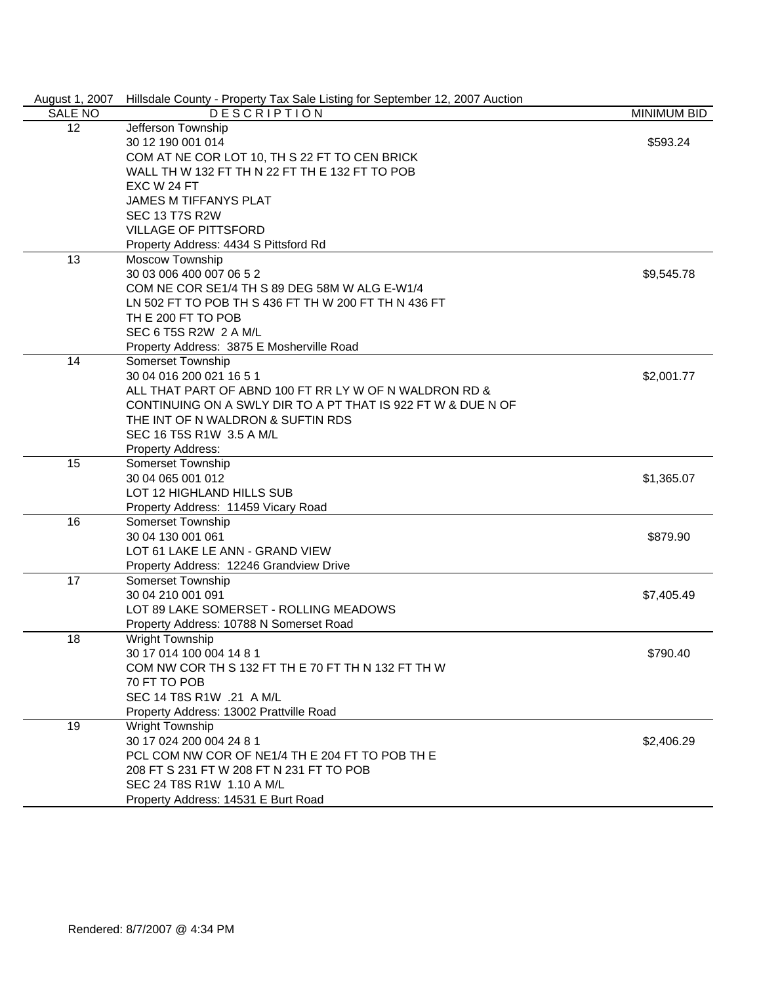| August 1, 2007 | Hillsdale County - Property Tax Sale Listing for September 12, 2007 Auction |                    |
|----------------|-----------------------------------------------------------------------------|--------------------|
| <b>SALE NO</b> | <b>DESCRIPTION</b>                                                          | <b>MINIMUM BID</b> |
| 12             | Jefferson Township                                                          |                    |
|                | 30 12 190 001 014                                                           | \$593.24           |
|                | COM AT NE COR LOT 10, TH S 22 FT TO CEN BRICK                               |                    |
|                | WALL TH W 132 FT TH N 22 FT TH E 132 FT TO POB                              |                    |
|                | EXC W 24 FT                                                                 |                    |
|                | <b>JAMES M TIFFANYS PLAT</b>                                                |                    |
|                | <b>SEC 13 T7S R2W</b>                                                       |                    |
|                | <b>VILLAGE OF PITTSFORD</b>                                                 |                    |
|                | Property Address: 4434 S Pittsford Rd                                       |                    |
| 13             | Moscow Township                                                             |                    |
|                | 30 03 006 400 007 06 5 2                                                    | \$9,545.78         |
|                | COM NE COR SE1/4 TH S 89 DEG 58M W ALG E-W1/4                               |                    |
|                | LN 502 FT TO POB TH S 436 FT TH W 200 FT TH N 436 FT                        |                    |
|                | TH E 200 FT TO POB                                                          |                    |
|                | SEC 6 T5S R2W 2 A M/L                                                       |                    |
|                | Property Address: 3875 E Mosherville Road                                   |                    |
| 14             | Somerset Township                                                           |                    |
|                | 30 04 016 200 021 16 5 1                                                    | \$2,001.77         |
|                | ALL THAT PART OF ABND 100 FT RR LY W OF N WALDRON RD &                      |                    |
|                | CONTINUING ON A SWLY DIR TO A PT THAT IS 922 FT W & DUE N OF                |                    |
|                | THE INT OF N WALDRON & SUFTIN RDS                                           |                    |
|                | SEC 16 T5S R1W 3.5 A M/L                                                    |                    |
|                | Property Address:                                                           |                    |
| 15             | Somerset Township                                                           |                    |
|                | 30 04 065 001 012                                                           | \$1,365.07         |
|                | LOT 12 HIGHLAND HILLS SUB                                                   |                    |
|                | Property Address: 11459 Vicary Road                                         |                    |
| 16             | Somerset Township                                                           |                    |
|                | 30 04 130 001 061                                                           | \$879.90           |
|                | LOT 61 LAKE LE ANN - GRAND VIEW                                             |                    |
|                | Property Address: 12246 Grandview Drive                                     |                    |
| 17             | Somerset Township                                                           |                    |
|                | 30 04 210 001 091                                                           | \$7,405.49         |
|                | LOT 89 LAKE SOMERSET - ROLLING MEADOWS                                      |                    |
|                | Property Address: 10788 N Somerset Road                                     |                    |
| 18             | <b>Wright Township</b>                                                      |                    |
|                | 30 17 014 100 004 14 8 1                                                    | \$790.40           |
|                | COM NW COR TH S 132 FT TH E 70 FT TH N 132 FT TH W                          |                    |
|                | 70 FT TO POB                                                                |                    |
|                | SEC 14 T8S R1W .21 A M/L                                                    |                    |
|                | Property Address: 13002 Prattville Road                                     |                    |
| 19             | Wright Township                                                             |                    |
|                | 30 17 024 200 004 24 8 1                                                    | \$2,406.29         |
|                | PCL COM NW COR OF NE1/4 TH E 204 FT TO POB TH E                             |                    |
|                | 208 FT S 231 FT W 208 FT N 231 FT TO POB                                    |                    |
|                | SEC 24 T8S R1W 1.10 A M/L                                                   |                    |
|                | Property Address: 14531 E Burt Road                                         |                    |
|                |                                                                             |                    |